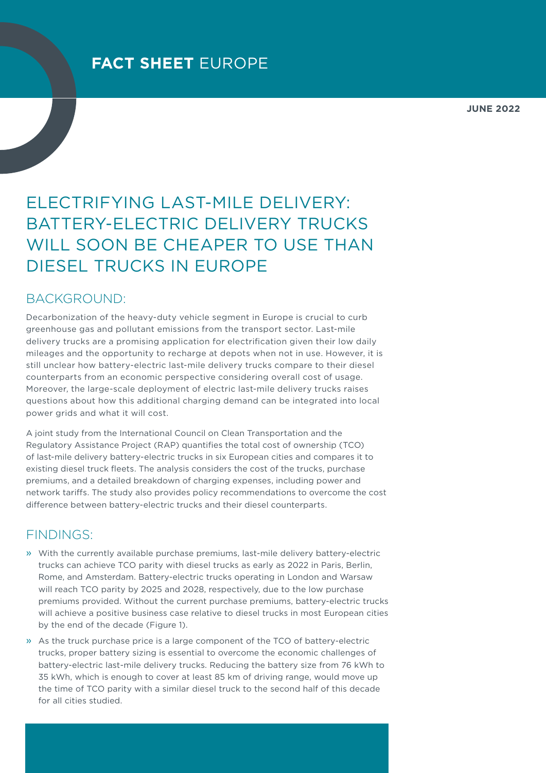**JUNE 2022**

# ELECTRIFYING LAST-MILE DELIVERY: BATTERY-ELECTRIC DELIVERY TRUCKS WILL SOON BE CHEAPER TO USE THAN DIESEL TRUCKS IN EUROPE

### BACKGROUND:

Decarbonization of the heavy-duty vehicle segment in Europe is crucial to curb greenhouse gas and pollutant emissions from the transport sector. Last-mile delivery trucks are a promising application for electrification given their low daily mileages and the opportunity to recharge at depots when not in use. However, it is still unclear how battery-electric last-mile delivery trucks compare to their diesel counterparts from an economic perspective considering overall cost of usage. Moreover, the large-scale deployment of electric last-mile delivery trucks raises questions about how this additional charging demand can be integrated into local power grids and what it will cost.

A joint study from the International Council on Clean Transportation and the Regulatory Assistance Project (RAP) quantifies the total cost of ownership (TCO) of last-mile delivery battery-electric trucks in six European cities and compares it to existing diesel truck fleets. The analysis considers the cost of the trucks, purchase premiums, and a detailed breakdown of charging expenses, including power and network tariffs. The study also provides policy recommendations to overcome the cost difference between battery-electric trucks and their diesel counterparts.

## FINDINGS:

- » With the currently available purchase premiums, last-mile delivery battery-electric trucks can achieve TCO parity with diesel trucks as early as 2022 in Paris, Berlin, Rome, and Amsterdam. Battery-electric trucks operating in London and Warsaw will reach TCO parity by 2025 and 2028, respectively, due to the low purchase premiums provided. Without the current purchase premiums, battery-electric trucks will achieve a positive business case relative to diesel trucks in most European cities by the end of the decade [\(Figure](#page-1-0) 1).
- » As the truck purchase price is a large component of the TCO of battery-electric trucks, proper battery sizing is essential to overcome the economic challenges of battery-electric last-mile delivery trucks. Reducing the battery size from 76 kWh to 35 kWh, which is enough to cover at least 85 km of driving range, would move up the time of TCO parity with a similar diesel truck to the second half of this decade for all cities studied.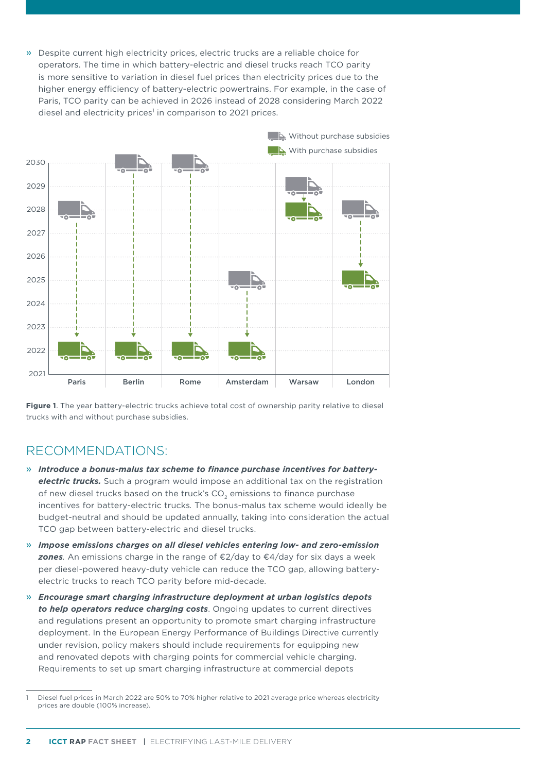» Despite current high electricity prices, electric trucks are a reliable choice for operators. The time in which battery-electric and diesel trucks reach TCO parity is more sensitive to variation in diesel fuel prices than electricity prices due to the higher energy efficiency of battery-electric powertrains. For example, in the case of Paris, TCO parity can be achieved in 2026 instead of 2028 considering March 2022 diesel and electricity prices<sup>1</sup> in comparison to 2021 prices.



<span id="page-1-0"></span>**Figure 1**. The year battery-electric trucks achieve total cost of ownership parity relative to diesel trucks with and without purchase subsidies.

### RECOMMENDATIONS:

- » *Introduce a bonus-malus tax scheme to finance purchase incentives for batteryelectric trucks.* Such a program would impose an additional tax on the registration of new diesel trucks based on the truck's  $CO<sub>2</sub>$  emissions to finance purchase incentives for battery-electric trucks*.* The bonus-malus tax scheme would ideally be budget-neutral and should be updated annually, taking into consideration the actual TCO gap between battery-electric and diesel trucks.
- » *Impose emissions charges on all diesel vehicles entering low- and zero-emission zones.* An emissions charge in the range of €2/day to €4/day for six days a week per diesel-powered heavy-duty vehicle can reduce the TCO gap, allowing batteryelectric trucks to reach TCO parity before mid-decade.
- » *Encourage smart charging infrastructure deployment at urban logistics depots to help operators reduce charging costs*. Ongoing updates to current directives and regulations present an opportunity to promote smart charging infrastructure deployment. In the European Energy Performance of Buildings Directive currently under revision, policy makers should include requirements for equipping new and renovated depots with charging points for commercial vehicle charging. Requirements to set up smart charging infrastructure at commercial depots

Diesel fuel prices in March 2022 are 50% to 70% higher relative to 2021 average price whereas electricity prices are double (100% increase).